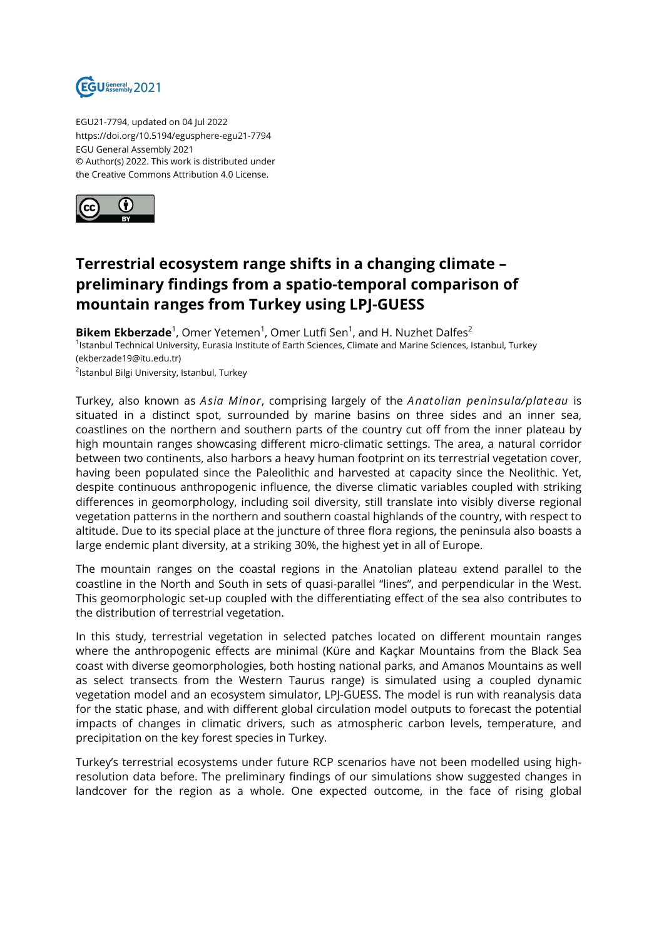

EGU21-7794, updated on 04 Jul 2022 https://doi.org/10.5194/egusphere-egu21-7794 EGU General Assembly 2021 © Author(s) 2022. This work is distributed under the Creative Commons Attribution 4.0 License.



## **Terrestrial ecosystem range shifts in a changing climate – preliminary findings from a spatio-temporal comparison of mountain ranges from Turkey using LPJ-GUESS**

**Bikem Ekberzade**<sup>1</sup>, Omer Yetemen<sup>1</sup>, Omer Lutfi Sen<sup>1</sup>, and H. Nuzhet Dalfes<sup>2</sup> 1<sub>Istanbul Technical University, Eurasia Institute of Earth Sciences, Climate and Marine Sciences, Istanbul, Turkey</sub> (ekberzade19@itu.edu.tr) <sup>2</sup>Istanbul Bilgi University, Istanbul, Turkey

Turkey, also known as *Asia Minor*, comprising largely of the *Anatolian peninsula/plateau* is situated in a distinct spot, surrounded by marine basins on three sides and an inner sea, coastlines on the northern and southern parts of the country cut off from the inner plateau by high mountain ranges showcasing different micro-climatic settings. The area, a natural corridor between two continents, also harbors a heavy human footprint on its terrestrial vegetation cover, having been populated since the Paleolithic and harvested at capacity since the Neolithic. Yet, despite continuous anthropogenic influence, the diverse climatic variables coupled with striking differences in geomorphology, including soil diversity, still translate into visibly diverse regional vegetation patterns in the northern and southern coastal highlands of the country, with respect to altitude. Due to its special place at the juncture of three flora regions, the peninsula also boasts a large endemic plant diversity, at a striking 30%, the highest yet in all of Europe.

The mountain ranges on the coastal regions in the Anatolian plateau extend parallel to the coastline in the North and South in sets of quasi-parallel "lines", and perpendicular in the West. This geomorphologic set-up coupled with the differentiating effect of the sea also contributes to the distribution of terrestrial vegetation.

In this study, terrestrial vegetation in selected patches located on different mountain ranges where the anthropogenic effects are minimal (Küre and Kaçkar Mountains from the Black Sea coast with diverse geomorphologies, both hosting national parks, and Amanos Mountains as well as select transects from the Western Taurus range) is simulated using a coupled dynamic vegetation model and an ecosystem simulator, LPJ-GUESS. The model is run with reanalysis data for the static phase, and with different global circulation model outputs to forecast the potential impacts of changes in climatic drivers, such as atmospheric carbon levels, temperature, and precipitation on the key forest species in Turkey.

Turkey's terrestrial ecosystems under future RCP scenarios have not been modelled using highresolution data before. The preliminary findings of our simulations show suggested changes in landcover for the region as a whole. One expected outcome, in the face of rising global